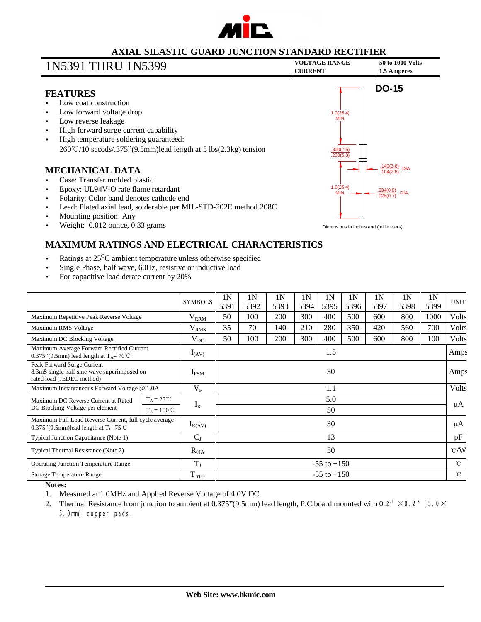

### **AXIAL SILASTIC GUARD JUNCTION STANDARD RECTIFIER**

# **VOLTAGE RANGE <sup>50</sup> to <sup>1000</sup> Volts** 1N5391 THRU 1N5399 **CURRENT 1.5 Amperes**

### **FEATURES**

- Low coat construction
- Low forward voltage drop
- Low reverse leakage
- High forward surge current capability
- High temperature soldering guaranteed: 260℃/10 secods/.375"(9.5mm)lead length at 5 lbs(2.3kg) tension

### **MECHANICAL DATA**

- Case: Transfer molded plastic
- Epoxy: UL94V-O rate flame retardant
- Polarity: Color band denotes cathode end
- Lead: Plated axial lead, solderable per MIL-STD-202E method 208C
- Mounting position: Any
- Weight: 0.012 ounce, 0.33 grams



Dimensions in inches and (millimeters)

## **MAXIMUM RATINGS AND ELECTRICAL CHARACTERISTICS**

- Ratings at  $25^{\circ}$ C ambient temperature unless otherwise specified
- Single Phase, half wave, 60Hz, resistive or inductive load
- For capacitive load derate current by 20%

|                                                                                                           |                      | <b>SYMBOLS</b>   | 1 <sup>N</sup><br>5391 | 1 <sup>N</sup><br>5392 | 1 <sup>N</sup><br>5393 | 1 <sup>N</sup><br>5394 | 1 <sup>N</sup><br>5395 | 1 <sup>N</sup><br>5396 | 1 <sub>N</sub><br>5397 | 1 <sub>N</sub><br>5398 | 1 <sub>N</sub><br>5399 | <b>UNIT</b>   |
|-----------------------------------------------------------------------------------------------------------|----------------------|------------------|------------------------|------------------------|------------------------|------------------------|------------------------|------------------------|------------------------|------------------------|------------------------|---------------|
| Maximum Repetitive Peak Reverse Voltage                                                                   |                      | $V_{RRM}$        | 50                     | 100                    | 200                    | 300                    | 400                    | 500                    | 600                    | 800                    | 1000                   | Volts         |
| Maximum RMS Voltage                                                                                       |                      | V <sub>RMS</sub> | 35                     | 70                     | 140                    | 210                    | 280                    | 350                    | 420                    | 560                    | 700                    | Volts         |
| Maximum DC Blocking Voltage                                                                               |                      | $V_{DC}$         | 50                     | 100                    | 200                    | 300                    | 400                    | 500                    | 600                    | 800                    | 100                    | Volts         |
| Maximum Average Forward Rectified Current<br>0.375"(9.5mm) lead length at $T_A = 70^{\circ}$ C            |                      | $I_{(AV)}$       | 1.5                    |                        |                        |                        |                        |                        |                        |                        |                        | Amps          |
| Peak Forward Surge Current<br>8.3mS single half sine wave superimposed on<br>rated load (JEDEC method)    |                      | $I_{FSM}$        | 30                     |                        |                        |                        |                        |                        |                        |                        |                        | Amps          |
| Maximum Instantaneous Forward Voltage @ 1.0A                                                              |                      | $V_{\rm F}$      | 1.1                    |                        |                        |                        |                        |                        |                        |                        |                        | Volts         |
| Maximum DC Reverse Current at Rated<br>DC Blocking Voltage per element                                    | $T_A = 25^{\circ}C$  | $I_R$            | 5.0                    |                        |                        |                        |                        |                        |                        |                        |                        | μA            |
|                                                                                                           | $T_A = 100^{\circ}C$ |                  |                        | 50                     |                        |                        |                        |                        |                        |                        |                        |               |
| Maximum Full Load Reverse Current, full cycle average<br>0.375"(9.5mm)lead length at $T_1 = 75^{\circ}$ C |                      | $I_{R(AV)}$      | 30                     |                        |                        |                        |                        |                        |                        |                        |                        | μA            |
| Typical Junction Capacitance (Note 1)                                                                     |                      | $C_{J}$          | 13                     |                        |                        |                        |                        |                        |                        |                        |                        | pF            |
| Typical Thermal Resistance (Note 2)                                                                       |                      | $R_{\theta JA}$  | 50                     |                        |                        |                        |                        |                        |                        |                        |                        | $\degree$ C/W |
| <b>Operating Junction Temperature Range</b>                                                               |                      | $T_{\rm J}$      | $-55$ to $+150$        |                        |                        |                        |                        |                        |                        |                        |                        | $^{\circ}$ C  |
| Storage Temperature Range                                                                                 |                      | $T_{STG}$        | $-55$ to $+150$        |                        |                        |                        |                        |                        |                        |                        |                        | $^{\circ}$ C  |

#### **Notes:**

- 1. Measured at 1.0MHz and Applied Reverse Voltage of 4.0V DC.
- 2. Thermal Resistance from junction to ambient at 0.375"(9.5mm) lead length, P.C.board mounted with 0.2"  $\times$  O2" (50 $\times$ 5.0mm) copper pads.